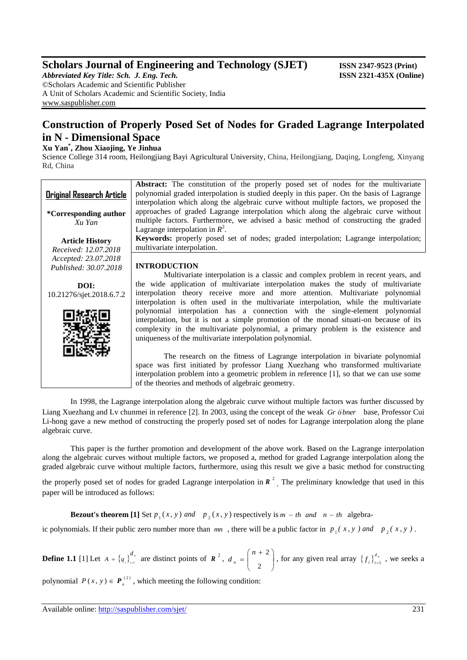## **Scholars Journal of Engineering and Technology (SJET)** ISSN 2347-9523 (Print)

*Abbreviated Key Title: Sch. J. Eng. Tech.* **ISSN 2321-435X (Online)** ©Scholars Academic and Scientific Publisher A Unit of Scholars Academic and Scientific Society, India [www.saspublisher.com](http://www.saspublisher.com/)

# **Construction of Properly Posed Set of Nodes for Graded Lagrange Interpolated in N - Dimensional Space**

### **Xu Yan\* , Zhou Xiaojing, Ye Jinhua**

Science College 314 room, Heilongjiang Bayi Agricultural University, China, Heilongjiang, Daqing, Longfeng, Xinyang Rd, China

| <b>Original Research Article</b> | <b>Abstract:</b> The constitution of the properly posed set of nodes for the multivariate<br>polynomial graded interpolation is studied deeply in this paper. On the basis of Lagrange<br>interpolation which along the algebraic curve without multiple factors, we proposed the |
|----------------------------------|-----------------------------------------------------------------------------------------------------------------------------------------------------------------------------------------------------------------------------------------------------------------------------------|
| *Corresponding author<br>Xu Yan  | approaches of graded Lagrange interpolation which along the algebraic curve without<br>multiple factors. Furthermore, we advised a basic method of constructing the graded<br>Lagrange interpolation in $R^2$ .                                                                   |
| <b>Article History</b>           | Keywords: properly posed set of nodes; graded interpolation; Lagrange interpolation;                                                                                                                                                                                              |
| Received: 12.07.2018             | multivariate interpolation.                                                                                                                                                                                                                                                       |
| Accepted: 23.07.2018             |                                                                                                                                                                                                                                                                                   |
| Published: 30.07.2018            | <b>INTRODUCTION</b>                                                                                                                                                                                                                                                               |
|                                  | Multivariate interpolation is a classic and complex problem in recent years, and                                                                                                                                                                                                  |
| DOI:                             | the wide application of multivariate interpolation makes the study of multivariate                                                                                                                                                                                                |
| 10.21276/sjet.2018.6.7.2         | interpolation theory receive more and more attention. Multivariate polynomial<br>interpolation is often used in the multivariate interpolation, while the multivariate                                                                                                            |
|                                  | polynomial interpolation has a connection with the single-element polynomial                                                                                                                                                                                                      |
|                                  | interpolation, but it is not a simple promotion of the monad situati-on because of its                                                                                                                                                                                            |
|                                  | complexity in the multivariate polynomial, a primary problem is the existence and<br>uniqueness of the multivariate interpolation polynomial.                                                                                                                                     |
|                                  |                                                                                                                                                                                                                                                                                   |
|                                  | The research on the fitness of Lagrange interpolation in bivariate polynomial                                                                                                                                                                                                     |
|                                  | space was first initiated by professor Liang Xuezhang who transformed multivariate                                                                                                                                                                                                |
|                                  | interpolation problem into a geometric problem in reference $[1]$ , so that we can use some                                                                                                                                                                                       |

In 1998, the Lagrange interpolation along the algebraic curve without multiple factors was further discussed by Liang Xuezhang and Lv chunmei in reference [2]. In 2003, using the concept of the weak *Gr o bner* base, Professor Cui Li-hong gave a new method of constructing the properly posed set of nodes for Lagrange interpolation along the plane algebraic curve.

of the theories and methods of algebraic geometry.

This paper is the further promotion and development of the above work. Based on the Lagrange interpolation along the algebraic curves without multiple factors, we proposed a, method for graded Lagrange interpolation along the graded algebraic curve without multiple factors, furthermore, using this result we give a basic method for constructing

the properly posed set of nodes for graded Lagrange interpolation in  $R^2$ . The preliminary knowledge that used in this paper will be introduced as follows:

**Bezout's theorem** [1] Set  $p_1(x, y)$  and  $p_2(x, y)$  respectively is  $m - th$  and  $n - th$  algebra-

ic polynomials. If their public zero number more than  $mn$ , there will be a public factor in  $p_1(x, y)$  and  $p_2(x, y)$ .

**Define 1.1** [1] Let  $A = \{q_i\}_{i=1}^{a}$ *i i*  $A = \{q_i\}_{i=1}^{d_n}$  are distinct points of  $R^2$ ,  $d_n = \begin{pmatrix} n+2 \\ 2 \end{pmatrix}$ ) ो I l  $=\left(\begin{array}{cc} n & + \\ & \end{array}\right)$ 2  $n + 2$  $d_n = \begin{bmatrix} 1 & 1 & 2 \\ 0 & 0 & 0 \end{bmatrix}$ , for any given real array  $\{f_i\}_{i=1}^{d_n}$  $f_i\}_{i=1}^{u_n}$ , we seeks a

polynomial  $P(x, y) \in P_n^{(2)}$ , which meeting the following condition: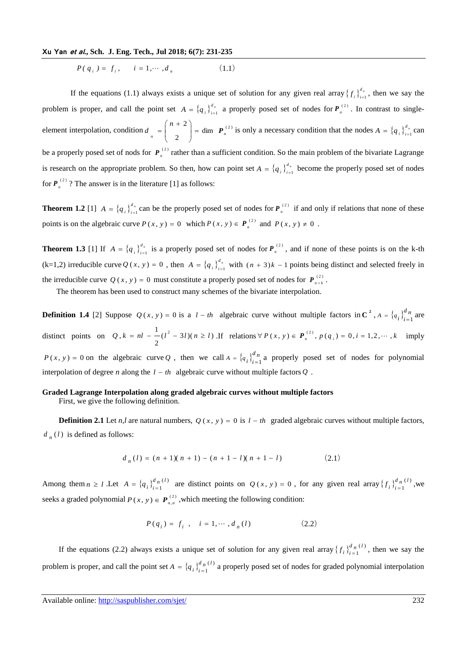$P(q_i) = f_i, \quad i = 1, \dots, d_n$  (1.1)

If the equations (1.1) always exists a unique set of solution for any given real array  $\{f_i\}^d$ .  $f_i$ ,  $\int_{i=1}^{u_n}$ , then we say the problem is proper, and call the point set  $A = \{q_i\}_{i=1}^{d_n}$  $A = \{q_i\}_{i=1}^{d_n}$  a properly posed set of nodes for  $P_n^{(2)}$  $P_{n}^{(2)}$ . In contrast to singleelement interpolation, condition  $d = \begin{pmatrix} 1 & 1 \\ 1 & 1 \end{pmatrix} = \dim P_n^{(2)}$ 2 2  $\begin{array}{c|c|c|c|c} \hline n & & 2 \end{array}$ *n*  $d_{n} = \begin{vmatrix} 1 & 0 \\ 0 & 1 \end{vmatrix} = \dim P$ )  $\backslash$ I l  $(n +$  $\begin{bmatrix} a & a \\ c & d \end{bmatrix} = \text{dim} \left[ \mathbf{P}_n^{(2)} \right]$  is only a necessary condition that the nodes  $A = \{q_i\}_{i=1}^d$  $A = \{q_i\}_{i=1}^{u_n}$  can be a properly posed set of nods for  $P_n^{(2)}$  $P_n^{(2)}$  rather than a sufficient condition. So the main problem of the bivariate Lagrange is research on the appropriate problem. So then, how can point set  $A = \{q_i\}_{i=1}^d$  $A = \{q_i\}_{i=1}^{a_n}$  become the properly posed set of nodes for  $P_n^{(2)}$  $P_{n}^{(2)}$ ? The answer is in the literature [1] as follows:

**Theorem 1.2** [1]  $A = \{q_i\}^{d_i}$  $A = \{q_i\}_{i=1}^{d_n}$  can be the properly posed set of nodes for  $P_n^{(2)}$  $P_{n}^{(2)}$  if and only if relations that none of these points is on the algebraic curve  $P(x, y) = 0$  which  $P(x, y) \in P_n^{(2)}$  and  $P(x, y) \neq 0$ .

**Theorem 1.3** [1] If  $A = \{q_i\}_{i=1}^{d}$  $A = \{q_i\}_{i=1}^{d_n}$  is a properly posed set of nodes for  $P_n^{(2)}$  $P_{n}^{(2)}$ , and if none of these points is on the k-th  $(k=1,2)$  irreducible curve  $Q(x, y) = 0$ , then  $A = \{q_i\}_{i=1}^{d}$  $A = \{q_i\}_{i=1}^{a_n}$  with  $(n + 3)k - 1$  points being distinct and selected freely in the irreducible curve  $Q(x, y) = 0$  must constitute a properly posed set of nodes for  $P_{n+k}^{(2)}$  $P_{n+k}^{(2)}$ .

The theorem has been used to construct many schemes of the bivariate interpolation.

**Definition 1.4** [2] Suppose  $Q(x, y) = 0$  is a  $l - th$  algebraic curve without multiple factors in C<sup>2</sup>,  $A = \{q_i\}_{i=1}^d$  $A = \{q_i\}_{i=1}^{u}$  are distinct points on  $Q, k = nl - (l^2 - 3l)(n \ge l)$ 2  $Q, k = nl - \frac{1}{2}(l^2 - 3l)(n \ge l)$ . If relations  $\forall P(x, y) \in P_n^{(2)}$ ,  $p(q_i) = 0, i = 1, 2, \dots, k$  imply  $P(x, y) = 0$  on the algebraic curve Q, then we call  $A = \{q_i\}$  $A = \{q_i\}_{i=1}^{a}$  a properly posed set of nodes for polynomial

interpolation of degree *n* along the  $l - th$  algebraic curve without multiple factors Q.

#### **Graded Lagrange Interpolation along graded algebraic curves without multiple factors**

First, we give the following definition.

**Definition 2.1** Let *n*,*l* are natural numbers,  $Q(x, y) = 0$  is  $l - th$  graded algebraic curves without multiple factors,  $d_n(l)$  is defined as follows:

$$
d_n(l) = (n+1)(n+1) - (n+1-l)(n+1-l)
$$
 (2.1)

Among them  $n \geq l$  . Let  $A = \{q_i\}_{i=1}^{d_n(l)}$  $\frac{d}{n}$  (*l i* = 1  $A = \{q_i\}_{i=1}^{d_n(I)}$  are distinct points on  $Q(x, y) = 0$ , for any given real array  $\{f_i\}_{i=1}^{d_n(I)}$  $\frac{d}{n}$  (*l i* = 1  $f_i \bigg|_{i=1}^{a_n(i)}$ , we seeks a graded polynomial  $P(x, y) \in P_{x,y}^{(2)}$  $P(x, y) \in P_{n,n}^{(2)}$ , which meeting the following condition:

$$
P(q_i) = f_i, \quad i = 1, \cdots, d_n(l)
$$
 (2.2)

If the equations (2.2) always exists a unique set of solution for any given real array  $\{f_i\}_{i=1}^{d}$  $\frac{d}{n}$  (*l i* = 1  $f_i$ ,  $\int_{i=1}^{u} f_i(t)$ , then we say the problem is proper, and call the point set  $A = \{q_i\}_{i=1}^{d_n}$  $\frac{d}{n}$  (*l*  $i = 1$  $A = \{q_i\}_{i=1}^{a_n(i)}$  a properly posed set of nodes for graded polynomial interpolation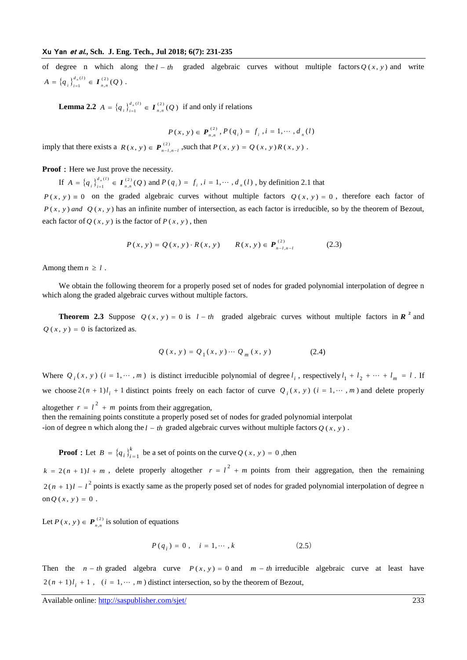of degree n which along the  $l - th$  graded algebraic curves without multiple factors  $Q(x, y)$  and write  ${q_i}_{i=1}^{d_n(l)} \in I_{n,n}^{(2)}(Q)$ ,  $\scriptstyle (l)$  $A = \left\{ q_i \right\}_{i=1}^{d_n(I)} \in \mathcal{I}_{n,n}^{(2)}(Q)$  $=\{q_{i}\}_{i=1}^{a_{n}(i)}\in I_{n,n}^{(2)}(Q)$ .

**Lemma 2.2**  $A = \{q_i\}_{i=1}^{d_n(I)} \in \mathcal{I}_{n,n}^{(2)}(Q)$ ,  $\left( l\right)$  $A = \left\{ q_i \right\}_{i=1}^{d_n(l)} \in \mathcal{I}_{n,n}^{(2)}(Q)$  $=\{q_i\}_{i=1}^{a_n(t)} \in \mathbf{I}_{n,n}^{(2)}(Q)$  if and only if relations

$$
P(x, y) \in P_{n,n}^{(2)}, P(q_i) = f_i, i = 1, \cdots, d_n(l)
$$

imply that there exists a  $R(x, y) \in P_{n-1}^{(2)}$  $R(x, y) \in \mathbf{P}_{n-l, n-l}^{(2)}$ , such that  $P(x, y) = Q(x, y)R(x, y)$ .

**Proof**: Here we Just prove the necessity.

If  $A = \{q_i\}_{i=1}^{d_n(I)} \in \mathbf{I}_{n,n}^{(2)}(Q)$ ,  $\left( l\right)$  $A = \left\{ q_i \right\}_{i=1}^{d_n(l)} \in \mathcal{I}_{n,n}^{(2)}(Q)$  $=\{q_i\}_{i=1}^{a_n(t)} \in I_{n,n}^{(2)}(Q)$  and  $P(q_i) = f_i$ ,  $i = 1, \dots, d_n(l)$ , by definition 2.1 that

 $P(x, y) = 0$  on the graded algebraic curves without multiple factors  $Q(x, y) = 0$ , therefore each factor of  $P(x, y)$  *and*  $Q(x, y)$  has an infinite number of intersection, as each factor is irreducible, so by the theorem of Bezout, each factor of  $Q(x, y)$  is the factor of  $P(x, y)$ , then

$$
P(x, y) = Q(x, y) \cdot R(x, y) \qquad R(x, y) \in P_{n-l, n-l}^{(2)} \tag{2.3}
$$

Among them  $n \geq l$ .

We obtain the following theorem for a properly posed set of nodes for graded polynomial interpolation of degree n which along the graded algebraic curves without multiple factors.

**Theorem 2.3** Suppose  $Q(x, y) = 0$  is  $l - th$  graded algebraic curves without multiple factors in  $\mathbb{R}^2$  and  $Q(x, y) = 0$  is factorized as.

$$
Q(x, y) = Q_1(x, y) \cdots Q_m(x, y)
$$
 (2.4)

Where  $Q_i(x, y)$  ( $i = 1, \dots, m$ ) is distinct irreducible polynomial of degree  $l_i$ , respectively  $l_1 + l_2 + \dots + l_m = l$ . If we choose  $2(n + 1)l_i + 1$  distinct points freely on each factor of curve  $Q_i(x, y)$  ( $i = 1, \dots, m$ ) and delete properly altogether  $r = l^2 + m$  points from their aggregation, then the remaining points constitute a properly posed set of nodes for graded polynomial interpolat -ion of degree n which along the  $l - th$  graded algebraic curves without multiple factors  $Q(x, y)$ .

**Proof**: Let  $B = \{q_i\}^k$  $B = \{q_i\}_{i=1}^k$  be a set of points on the curve *Q* (*x*, *y*) = 0, then

 $k = 2(n + 1)l + m$ , delete properly altogether  $r = l^2 + m$  points from their aggregation, then the remaining  $2(n + 1)l - l^2$  points is exactly same as the properly posed set of nodes for graded polynomial interpolation of degree n on  $Q(x, y) = 0$ .

Let  $P(x, y) \in P_{x,y}^{(2)}$  $P(x, y) \in P_{n,n}^{(2)}$  is solution of equations

$$
P(q_i) = 0, \quad i = 1, \cdots, k \tag{2.5}
$$

Then the  $n - th$  graded algebra curve  $P(x, y) = 0$  and  $m - th$  irreducible algebraic curve at least have  $2(n + 1)l_i + 1$ ,  $(i = 1, \dots, m)$  distinct intersection, so by the theorem of Bezout,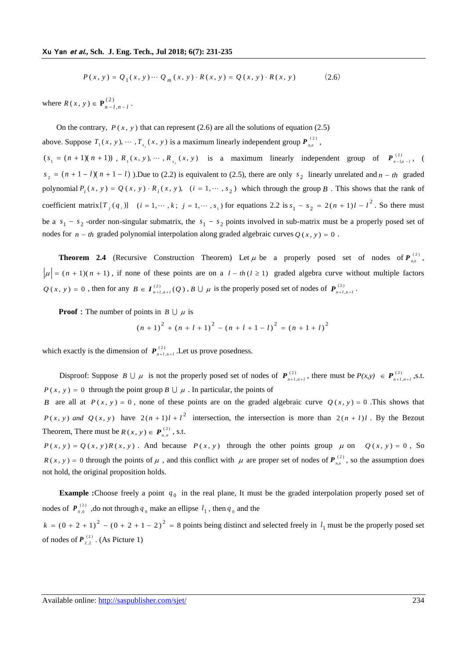$$
P(x, y) = Q_1(x, y) \cdots Q_m(x, y) \cdot R(x, y) = Q(x, y) \cdot R(x, y)
$$
 (2.6)

where  $R(x, y) \in \mathbf{P}_{n-1}^{(2)}$  $R(x, y) \in \mathbf{P}_{n-l,n-l}^{(2)}$ .

On the contrary,  $P(x, y)$  that can represent (2.6) are all the solutions of equation (2.5) above. Suppose  $T_1(x, y), \dots, T_{s_1}(x, y)$  is a maximum linearly independent group  $P_{n,n}^{(2)}$  $P_{n,n}^{(2)}$  ,  $(s_1 = (n+1)(n+1))$ ,  $R_1(x, y), \dots, R_{s_2}(x, y)$  is a maximum linearly independent group of  $P_{n-k}^{(2)}$  $P_{n-l,n-l}^{(2)}$ , (  $s_2 = (n + 1 - l)(n + 1 - l)$ . Due to (2.2) is equivalent to (2.5), there are only  $s_2$  linearly unrelated and  $n - th$  graded polynomial  $P_i(x, y) = Q(x, y) \cdot R_i(x, y)$ ,  $(i = 1, \dots, s_2)$  which through the group B. This shows that the rank of coefficient matrix  $[T_j(q_i)]$   $(i = 1, \dots, k; j = 1, \dots, s_1)$  for equations 2.2 is  $s_1 - s_2 = 2(n + 1)l - l^2$  $s_1 - s_2 = 2(n + 1)l - l^2$ . So there must be a  $s_1 - s_2$  -order non-singular submatrix, the  $s_1 - s_2$  points involved in sub-matrix must be a properly posed set of nodes for  $n - th$  graded polynomial interpolation along graded algebraic curves  $Q(x, y) = 0$ .

**Theorem 2.4** (Recursive Construction Theorem) Let  $\mu$  be a properly posed set of nodes of  $P_{n}^{(2)}$  $P_{n,n}^{(2)}$ ,  $\mu$  =  $(n + 1)(n + 1)$ , if none of these points are on a  $l - th$  ( $l \ge 1$ ) graded algebra curve without multiple factors  $Q(x, y) = 0$ , then for any  $B \in I_{n+l, n+l}^{(2)}(Q)$ ,  $B \cup \mu$  is the properly posed set of nodes of  $P_{n+l}^{(2)}$  $P_{n+l,n+l}^{(2)}$ .

**Proof**: The number of points in  $B \cup \mu$  is

$$
(n + 1)^{2} + (n + l + 1)^{2} - (n + l + 1 - l)^{2} = (n + 1 + l)^{2}
$$

which exactly is the dimension of  $P_{n+1}^{(2)}$  $P_{n+l,n+l}^{(2)}$ . Let us prove posedness.

Disproof: Suppose  $B \cup \mu$  is not the properly posed set of nodes of  $P_{n+l}^{(2)}$  $P_{n+l,n+l}^{(2)}$ , there must be  $P(x,y) \in P_{n+l}^{(2)}$  $P(x,y) \in \mathbf{P}_{n+l,n+l}^{(2)}$ , s.t.  $P(x, y) = 0$  through the point group  $B \cup \mu$ . In particular, the points of

*B* are all at  $P(x, y) = 0$ , none of these points are on the graded algebraic curve  $Q(x, y) = 0$ . This shows that  $P(x, y)$  and  $Q(x, y)$  have  $2(n+1)l + l^2$  intersection, the intersection is more than  $2(n + l)l$ . By the Bezout Theorem, There must be  $R(x, y) \in P_{x,y}^{(2)}$  $R(x, y) \in P_{n,n}^{(2)}$ , s.t.

 $P(x, y) = Q(x, y)R(x, y)$ . And because  $P(x, y)$  through the other points group  $\mu$  on  $Q(x, y) = 0$ , So  $R(x, y) = 0$  through the points of  $\mu$ , and this conflict with  $\mu$  are proper set of nodes of  $P_{n}^{(2)}$  $P_{n,n}^{(2)}$ , so the assumption does not hold, the original proposition holds.

**Example :**Choose freely a point  $q_0$  in the real plane, It must be the graded interpolation properly posed set of nodes of  $P_{0.0}^{(2)}$  $P_{0,0}^{(2)}$ , do not through  $q_0$  make an ellipse  $l_1$ , then  $q_0$  and the  $k = (0 + 2 + 1)^2 - (0 + 2 + 1 - 2)^2 = 8$  points being distinct and selected freely in  $l_1$  must be the properly posed set of nodes of  $P_{2}^{(2)}$  $P_{2,2}^{(2)}$ . (As Picture 1)